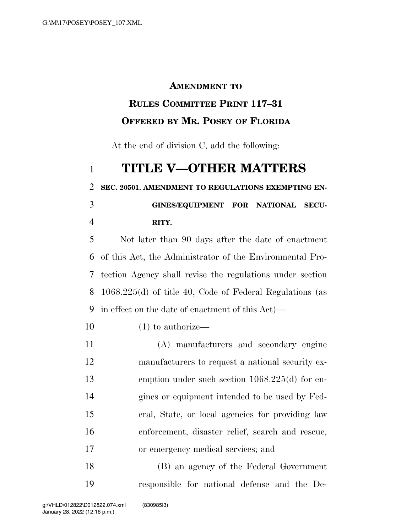## **AMENDMENT TO**

## **RULES COMMITTEE PRINT 117–31 OFFERED BY MR. POSEY OF FLORIDA**

At the end of division C, add the following:

## **TITLE V—OTHER MATTERS**

**SEC. 20501. AMENDMENT TO REGULATIONS EXEMPTING EN-**

 **GINES/EQUIPMENT FOR NATIONAL SECU-RITY.** 

 Not later than 90 days after the date of enactment of this Act, the Administrator of the Environmental Pro- tection Agency shall revise the regulations under section 1068.225(d) of title 40, Code of Federal Regulations (as in effect on the date of enactment of this Act)—

- (1) to authorize—
- (A) manufacturers and secondary engine manufacturers to request a national security ex- emption under such section 1068.225(d) for en- gines or equipment intended to be used by Fed- eral, State, or local agencies for providing law enforcement, disaster relief, search and rescue, or emergency medical services; and

 (B) an agency of the Federal Government responsible for national defense and the De